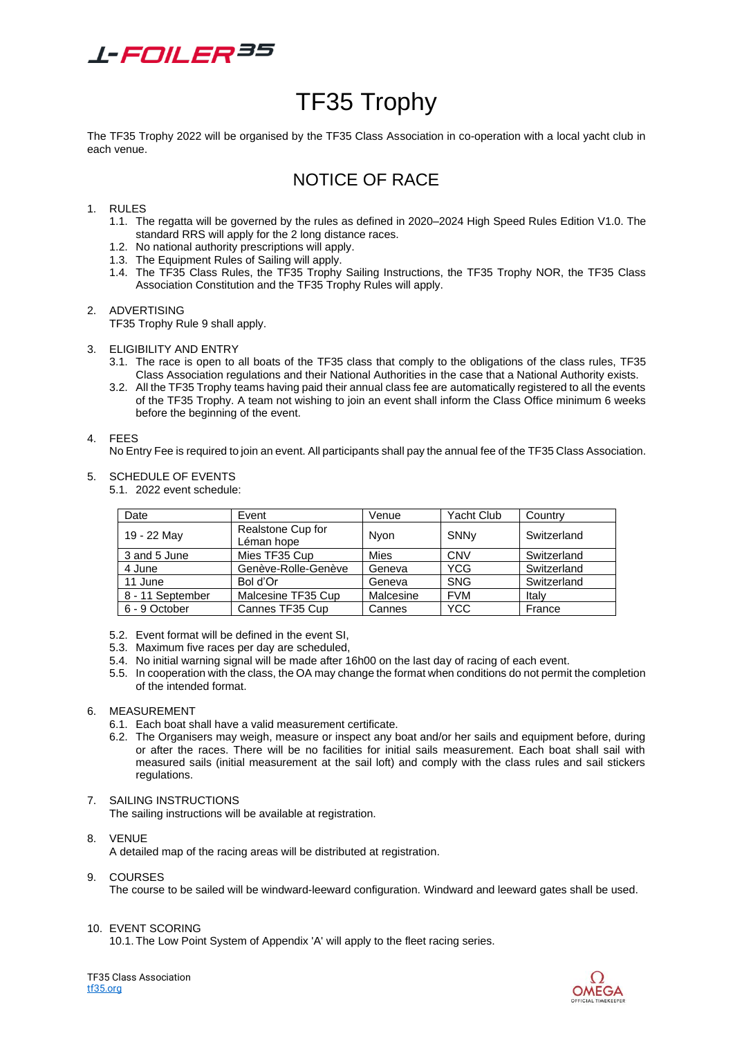

# TF35 Trophy

The TF35 Trophy 2022 will be organised by the TF35 Class Association in co-operation with a local yacht club in each venue.

# NOTICE OF RACE

# 1. RULES

- 1.1. The regatta will be governed by the rules as defined in 2020–2024 High Speed Rules Edition V1.0. The standard RRS will apply for the 2 long distance races.
- 1.2. No national authority prescriptions will apply.
- 1.3. The Equipment Rules of Sailing will apply.
- 1.4. The TF35 Class Rules, the TF35 Trophy Sailing Instructions, the TF35 Trophy NOR, the TF35 Class Association Constitution and the TF35 Trophy Rules will apply.

# 2. ADVERTISING

TF35 Trophy Rule 9 shall apply.

- 3. ELIGIBILITY AND ENTRY
	- 3.1. The race is open to all boats of the TF35 class that comply to the obligations of the class rules, TF35 Class Association regulations and their National Authorities in the case that a National Authority exists.
	- 3.2. All the TF35 Trophy teams having paid their annual class fee are automatically registered to all the events of the TF35 Trophy. A team not wishing to join an event shall inform the Class Office minimum 6 weeks before the beginning of the event.

# 4. FEES

No Entry Fee is required to join an event. All participants shall pay the annual fee of the TF35 Class Association.

5. SCHEDULE OF EVENTS

5.1. 2022 event schedule:

| Date             | Event                           | Venue     | Yacht Club       | Country     |
|------------------|---------------------------------|-----------|------------------|-------------|
| 19 - 22 May      | Realstone Cup for<br>Léman hope | Nvon      | SNN <sub>v</sub> | Switzerland |
| 3 and 5 June     | Mies TF35 Cup                   | Mies      | <b>CNV</b>       | Switzerland |
| 4 June           | Genève-Rolle-Genève             | Geneva    | <b>YCG</b>       | Switzerland |
| 11 June          | Bol d'Or                        | Geneva    | <b>SNG</b>       | Switzerland |
| 8 - 11 September | Malcesine TF35 Cup              | Malcesine | <b>FVM</b>       | Italy       |
| 6 - 9 October    | Cannes TF35 Cup                 | Cannes    | <b>YCC</b>       | France      |

- 5.2. Event format will be defined in the event SI,
- 5.3. Maximum five races per day are scheduled,
- 5.4. No initial warning signal will be made after 16h00 on the last day of racing of each event.
- 5.5. In cooperation with the class, the OA may change the format when conditions do not permit the completion of the intended format.

# 6. MEASUREMENT

- 6.1. Each boat shall have a valid measurement certificate.
- 6.2. The Organisers may weigh, measure or inspect any boat and/or her sails and equipment before, during or after the races. There will be no facilities for initial sails measurement. Each boat shall sail with measured sails (initial measurement at the sail loft) and comply with the class rules and sail stickers regulations.
- 7. SAILING INSTRUCTIONS

The sailing instructions will be available at registration.

- 8. VENUE A detailed map of the racing areas will be distributed at registration.
- 9. COURSES

The course to be sailed will be windward-leeward configuration. Windward and leeward gates shall be used.

10. EVENT SCORING

10.1. The Low Point System of Appendix 'A' will apply to the fleet racing series.